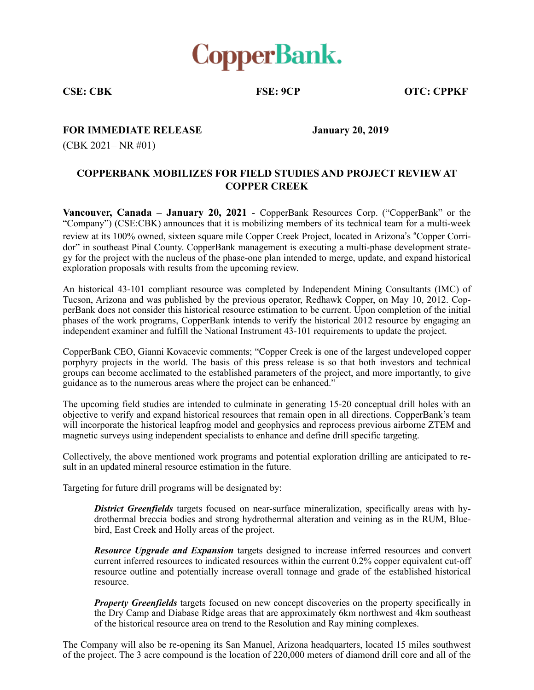

**CSE: CBK FSE: 9CP OTC: CPPKF** 

**FOR IMMEDIATE RELEASE January 20, 2019** 

(CBK 2021– NR #01)

## **COPPERBANK MOBILIZES FOR FIELD STUDIES AND PROJECT REVIEW AT COPPER CREEK**

**Vancouver, Canada – January 20, 2021** - CopperBank Resources Corp. ("CopperBank" or the "Company") (CSE:CBK) announces that it is mobilizing members of its technical team for a multi-week review at its 100% owned, sixteen square mile Copper Creek Project, located in Arizona's "Copper Corridor" in southeast Pinal County. CopperBank management is executing a multi-phase development strategy for the project with the nucleus of the phase-one plan intended to merge, update, and expand historical exploration proposals with results from the upcoming review.

An historical 43-101 compliant resource was completed by Independent Mining Consultants (IMC) of Tucson, Arizona and was published by the previous operator, Redhawk Copper, on May 10, 2012. CopperBank does not consider this historical resource estimation to be current. Upon completion of the initial phases of the work programs, CopperBank intends to verify the historical 2012 resource by engaging an independent examiner and fulfill the National Instrument 43-101 requirements to update the project.

CopperBank CEO, Gianni Kovacevic comments; "Copper Creek is one of the largest undeveloped copper porphyry projects in the world. The basis of this press release is so that both investors and technical groups can become acclimated to the established parameters of the project, and more importantly, to give guidance as to the numerous areas where the project can be enhanced."

The upcoming field studies are intended to culminate in generating 15-20 conceptual drill holes with an objective to verify and expand historical resources that remain open in all directions. CopperBank's team will incorporate the historical leapfrog model and geophysics and reprocess previous airborne ZTEM and magnetic surveys using independent specialists to enhance and define drill specific targeting.

Collectively, the above mentioned work programs and potential exploration drilling are anticipated to result in an updated mineral resource estimation in the future.

Targeting for future drill programs will be designated by:

*District Greenfields* targets focused on near-surface mineralization, specifically areas with hydrothermal breccia bodies and strong hydrothermal alteration and veining as in the RUM, Bluebird, East Creek and Holly areas of the project.

*Resource Upgrade and Expansion* targets designed to increase inferred resources and convert current inferred resources to indicated resources within the current 0.2% copper equivalent cut-off resource outline and potentially increase overall tonnage and grade of the established historical resource.

*Property Greenfields* targets focused on new concept discoveries on the property specifically in the Dry Camp and Diabase Ridge areas that are approximately 6km northwest and 4km southeast of the historical resource area on trend to the Resolution and Ray mining complexes.

The Company will also be re-opening its San Manuel, Arizona headquarters, located 15 miles southwest of the project. The 3 acre compound is the location of 220,000 meters of diamond drill core and all of the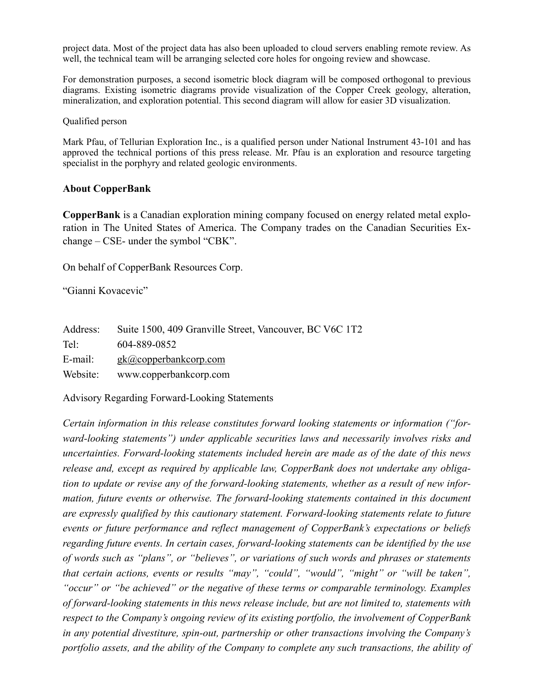project data. Most of the project data has also been uploaded to cloud servers enabling remote review. As well, the technical team will be arranging selected core holes for ongoing review and showcase.

For demonstration purposes, a second isometric block diagram will be composed orthogonal to previous diagrams. Existing isometric diagrams provide visualization of the Copper Creek geology, alteration, mineralization, and exploration potential. This second diagram will allow for easier 3D visualization.

Qualified person

Mark Pfau, of Tellurian Exploration Inc., is a qualified person under National Instrument 43-101 and has approved the technical portions of this press release. Mr. Pfau is an exploration and resource targeting specialist in the porphyry and related geologic environments.

## **About CopperBank**

**CopperBank** is a Canadian exploration mining company focused on energy related metal exploration in The United States of America. The Company trades on the Canadian Securities Exchange – CSE- under the symbol "CBK".

On behalf of CopperBank Resources Corp.

"Gianni Kovacevic"

| Address: | Suite 1500, 409 Granville Street, Vancouver, BC V6C 1T2 |
|----------|---------------------------------------------------------|
| Tel:     | 604-889-0852                                            |
| E-mail:  | gk@copperbankcorp.com                                   |
| Website: | www.copperbankcorp.com                                  |

Advisory Regarding Forward-Looking Statements

*Certain information in this release constitutes forward looking statements or information ("forward-looking statements") under applicable securities laws and necessarily involves risks and uncertainties. Forward-looking statements included herein are made as of the date of this news release and, except as required by applicable law, CopperBank does not undertake any obligation to update or revise any of the forward-looking statements, whether as a result of new information, future events or otherwise. The forward-looking statements contained in this document are expressly qualified by this cautionary statement. Forward-looking statements relate to future events or future performance and reflect management of CopperBank's expectations or beliefs regarding future events. In certain cases, forward-looking statements can be identified by the use of words such as "plans", or "believes", or variations of such words and phrases or statements that certain actions, events or results "may", "could", "would", "might" or "will be taken", "occur" or "be achieved" or the negative of these terms or comparable terminology. Examples of forward-looking statements in this news release include, but are not limited to, statements with respect to the Company's ongoing review of its existing portfolio, the involvement of CopperBank in any potential divestiture, spin-out, partnership or other transactions involving the Company's portfolio assets, and the ability of the Company to complete any such transactions, the ability of*